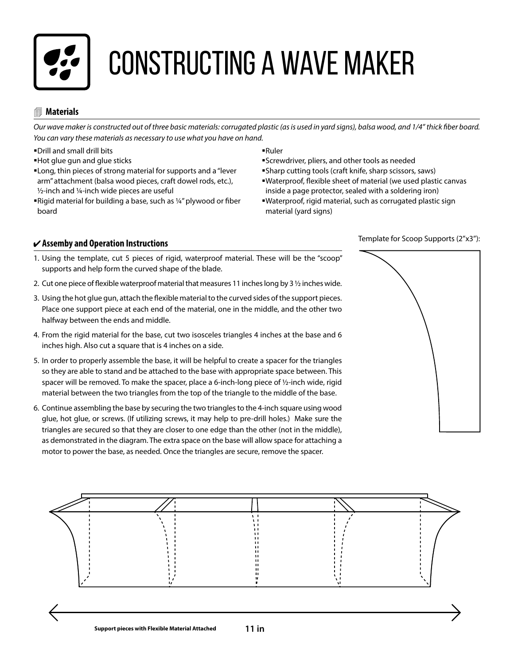

# Constructing a wave maker

### **Materials**

*Our wave maker is constructed out of three basic materials: corrugated plastic (as is used in yard signs), balsa wood, and 1/4" thick fiber board. You can vary these materials as necessary to use what you have on hand.*

- Drill and small drill bits
- Hot glue gun and glue sticks
- Long, thin pieces of strong material for supports and a "lever arm" attachment (balsa wood pieces, craft dowel rods, etc.), ½-inch and ¼-inch wide pieces are useful
- ■Rigid material for building a base, such as ¼" plywood or fiber board
- Ruler
- Screwdriver, pliers, and other tools as needed
- Sharp cutting tools (craft knife, sharp scissors, saws)
- Waterproof, flexible sheet of material (we used plastic canvas **10 in** inside a page protector, sealed with a soldering iron)
	- Waterproof, rigid material, such as corrugated plastic sign material (yard signs)

#### **Assemby and Operation Instructions**

- 1. Using the template, cut 5 pieces of rigid, waterproof material. These will be the "scoop" supports and help form the curved shape of the blade.
- 2. Cut one piece of flexible waterproof material that measures 11 inches long by 3 ½ inches wide.
- 3. Using the hot glue gun, attach the flexible material to the curved sides of the support pieces. Place one support piece at each end of the material, one in the middle, and the other two halfway between the ends and middle. **3 in**
- 4. From the rigid material for the base, cut two isosceles triangles 4 inches at the base and 6 inches high. Also cut a square that is 4 inches on a side.
- 5. In order to properly assemble the base, it will be helpful to create a spacer for the triangles so they are able to stand and be attached to the base with appropriate space between. This spacer will be removed. To make the spacer, place a 6-inch-long piece of ½-inch wide, rigid material between the two triangles from the top of the triangle to the middle of the base.
- 6. Continue assembling the base by securing the two triangles to the 4-inch square using wood **2 in** glue, hot glue, or screws. (If utilizing screws, it may help to pre-drill holes.) Make sure the triangles are secured so that they are closer to one edge than the other (not in the middle), as demonstrated in the diagram. The extra space on the base will allow space for attaching a motor to power the base, as needed. Once the triangles are secure, remove the spacer.